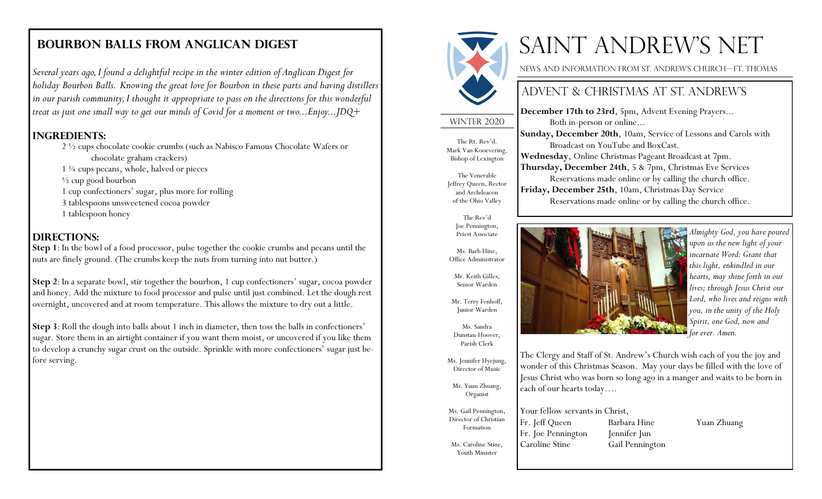*Several years ago, I found a delightful recipe in the winter edition of Anglican Digest for holiday Bourbon Balls. Knowing the great love for Bourbon in these parts and having distillers in our parish community, I thought it appropriate to pass on the directions for this wonderful treat as just one small way to get our minds of Covid for a moment or two...Enjoy...JDQ+*

#### **Ingredients:**

2 ½ cups chocolate cookie crumbs (such as Nabisco Famous Chocolate Wafers or chocolate graham crackers) 1 ¼ cups pecans, whole, halved or pieces

½ cup good bourbon

1 cup confectioners' sugar, plus more for rolling

3 tablespoons unsweetened cocoa powder

1 tablespoon honey

#### **Directions:**

**Step 1**: In the bowl of a food processor, pulse together the cookie crumbs and pecans until the nuts are finely ground. (The crumbs keep the nuts from turning into nut butter.)

**Step 2**: In a separate bowl, stir together the bourbon, 1 cup confectioners' sugar, cocoa powder and honey. Add the mixture to food processor and pulse until just combined. Let the dough rest overnight, uncovered and at room temperature. This allows the mixture to dry out a little.

**Step 3**: Roll the dough into balls about 1 inch in diameter, then toss the balls in confectioners' sugar. Store them in an airtight container if you want them moist, or uncovered if you like them to develop a crunchy sugar crust on the outside. Sprinkle with more confectioners' sugar just before serving.



# **BOURBON BALLS FROM ANGLICAN DIGEST FIGHT AND REW'S NET**

News and information from St. Andrew's church—Ft. Thomas

# Advent & Christmas at St. Andrew's

**Sunday, December 20th**, 10am, Service of Lessons and Carols with

Reservations made online or by calling the church office.

Reservations made online or by calling the church office.

The Clergy and Staff of St. Andrew's Church wish each of you the joy and wonder of this Christmas Season. May your days be filled with the love of Jesus Christ who was born so long ago in a manger and waits to be born in

**December 17th to 23rd**, 5pm, Advent Evening Prayers...

Broadcast on YouTube and BoxCast. **Wednesday**, Online Christmas Pageant Broadcast at 7pm. **Thursday, December 24th**, 5 & 7pm, Christmas Eve Services

**Friday, December 25th**, 10am, Christmas Day Service

Both in-person or online...

WINTER 2020

The Rt. Rev'd. Mark Van Kooevering, Bishop of Lexington

The Venerable Jeffrey Queen, Rector and Archdeacon of the Ohio Valley

> The Rev'd Joe Pennington, Priest Associate

Ms. Barb Hine, Office Administrator

Mr. Keith Gilles, Senior Warden

Mr. Terry Fenhoff, Junior Warden

Ms. Sandra Dunstan-Hoover, Parish Clerk

Ms. Jennifer Hyejung, Director of Music

Ms. Yuan Zhuang, Organist

Ms. Gail Pennington, Director of Christian Formation

Ms. Caroline Stine, Youth Minister

Your fellow servants in Christ, Fr. Jeff Queen Barbara Hine Yuan Zhuang Fr. Joe Pennington Jennifer Jun Caroline Stine Gail Pennington

each of our hearts today….

*Almighty God, you have poured upon us the new light of your incarnate Word: Grant that this light, enkindled in our hearts, may shine forth in our lives; through Jesus Christ our Lord, who lives and reigns with you, in the unity of the Holy Spirit, one God, now and for ever. Amen.*